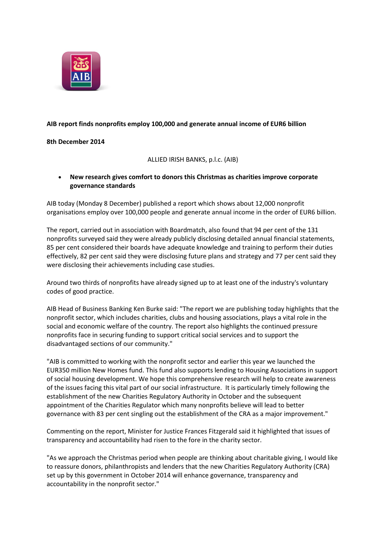

## **AIB report finds nonprofits employ 100,000 and generate annual income of EUR6 billion**

#### **8th December 2014**

ALLIED IRISH BANKS, p.l.c. (AIB)

 **New research gives comfort to donors this Christmas as charities improve corporate governance standards**

AIB today (Monday 8 December) published a report which shows about 12,000 nonprofit organisations employ over 100,000 people and generate annual income in the order of EUR6 billion.

The report, carried out in association with Boardmatch, also found that 94 per cent of the 131 nonprofits surveyed said they were already publicly disclosing detailed annual financial statements, 85 per cent considered their boards have adequate knowledge and training to perform their duties effectively, 82 per cent said they were disclosing future plans and strategy and 77 per cent said they were disclosing their achievements including case studies.

Around two thirds of nonprofits have already signed up to at least one of the industry's voluntary codes of good practice.

AIB Head of Business Banking Ken Burke said: "The report we are publishing today highlights that the nonprofit sector, which includes charities, clubs and housing associations, plays a vital role in the social and economic welfare of the country. The report also highlights the continued pressure nonprofits face in securing funding to support critical social services and to support the disadvantaged sections of our community."

"AIB is committed to working with the nonprofit sector and earlier this year we launched the EUR350 million New Homes fund. This fund also supports lending to Housing Associations in support of social housing development. We hope this comprehensive research will help to create awareness of the issues facing this vital part of our social infrastructure. It is particularly timely following the establishment of the new Charities Regulatory Authority in October and the subsequent appointment of the Charities Regulator which many nonprofits believe will lead to better governance with 83 per cent singling out the establishment of the CRA as a major improvement."

Commenting on the report, Minister for Justice Frances Fitzgerald said it highlighted that issues of transparency and accountability had risen to the fore in the charity sector.

"As we approach the Christmas period when people are thinking about charitable giving, I would like to reassure donors, philanthropists and lenders that the new Charities Regulatory Authority (CRA) set up by this government in October 2014 will enhance governance, transparency and accountability in the nonprofit sector."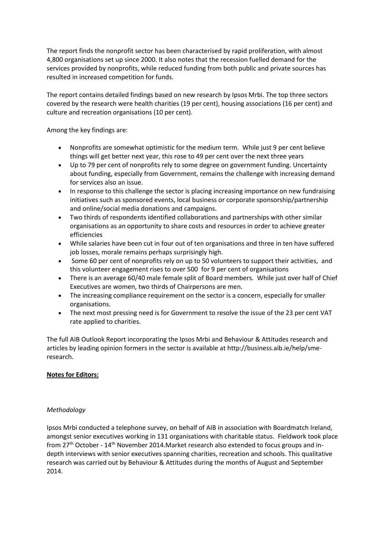The report finds the nonprofit sector has been characterised by rapid proliferation, with almost 4,800 organisations set up since 2000. It also notes that the recession fuelled demand for the services provided by nonprofits, while reduced funding from both public and private sources has resulted in increased competition for funds.

The report contains detailed findings based on new research by Ipsos Mrbi. The top three sectors covered by the research were health charities (19 per cent), housing associations (16 per cent) and culture and recreation organisations (10 per cent).

Among the key findings are:

- Nonprofits are somewhat optimistic for the medium term. While just 9 per cent believe things will get better next year, this rose to 49 per cent over the next three years
- Up to 79 per cent of nonprofits rely to some degree on government funding. Uncertainty about funding, especially from Government, remains the challenge with increasing demand for services also an issue.
- In response to this challenge the sector is placing increasing importance on new fundraising initiatives such as sponsored events, local business or corporate sponsorship/partnership and online/social media donations and campaigns.
- Two thirds of respondents identified collaborations and partnerships with other similar organisations as an opportunity to share costs and resources in order to achieve greater efficiencies
- While salaries have been cut in four out of ten organisations and three in ten have suffered job losses, morale remains perhaps surprisingly high.
- Some 60 per cent of nonprofits rely on up to 50 volunteers to support their activities, and this volunteer engagement rises to over 500 for 9 per cent of organisations
- There is an average 60/40 male female split of Board members. While just over half of Chief Executives are women, two thirds of Chairpersons are men.
- The increasing compliance requirement on the sector is a concern, especially for smaller organisations.
- The next most pressing need is for Government to resolve the issue of the 23 per cent VAT rate applied to charities.

The full AIB Outlook Report incorporating the Ipsos Mrbi and Behaviour & Attitudes research and articles by leading opinion formers in the sector is available at http://business.aib.ie/help/smeresearch.

# **Notes for Editors:**

#### *Methodology*

Ipsos Mrbi conducted a telephone survey, on behalf of AIB in association with Boardmatch Ireland, amongst senior executives working in 131 organisations with charitable status. Fieldwork took place from 27th October - 14th November 2014.Market research also extended to focus groups and indepth interviews with senior executives spanning charities, recreation and schools. This qualitative research was carried out by Behaviour & Attitudes during the months of August and September 2014.